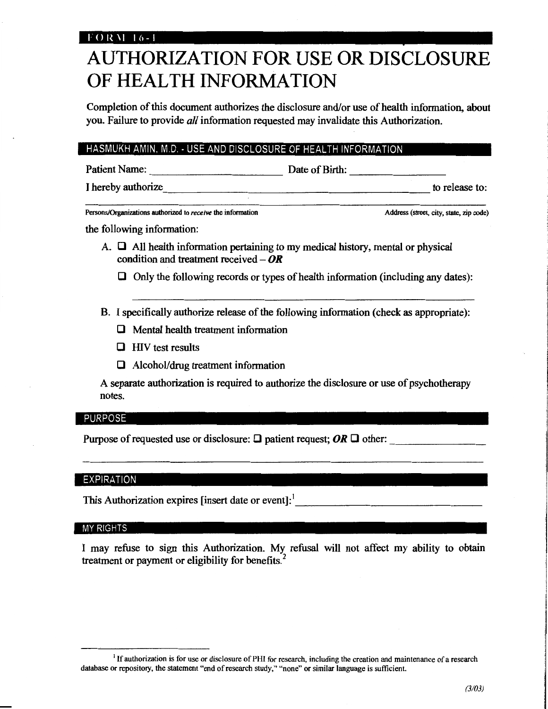## $F$  O R M  $\pm$  16 -  $\pm$

# AUTHORIZATION FOR USE OR DISCLOSURE OF HEALTH INFORMATION

Completion of this document authorizes the disclosure and/or use of health information, about you. Failure to provide *all* information requested may invalidate this Authorization.

### HASMUKH AMIN. M.D.· USE AND DISCLOSURE OF HEALTH INFORMATION

| <b>Patient Name:</b> |  |
|----------------------|--|
|                      |  |

**Patient Name:** Date of Birth:

I hereby authorize to release to:

Persons/Organizations authorized to *receive* the information **Address** (street, city, state, zip code)

the following information:

- A.  $\Box$  All health information pertaining to my medical history, mental or physical condition and treatment received  $-\mathbf{OR}$ 
	- $\Box$  Only the following records or types of health information (including any dates):
- B. I specifically authorize release of the following information (check as appropriate):
	- $\Box$  Mental health treatment information
	- $\Box$  HIV test results
	- $\Box$  Alcohol/drug treatment information

A separate authorization is required to authorize the disclosure or use of psychotherapy notes.

### PURPOSE

Purpose of requested use or disclosure:  $\Box$  patient request; OR  $\Box$  other:

### EXPIRATION

This Authorization expires [insert date or event]: $\frac{1}{2}$ 

### MY RIGHTS

I may refuse to sign this Authorization. My refusal will not affect my ability to obtain treatment or payment or eligibility for benefits. $<sup>2</sup>$ </sup>

<sup>&</sup>lt;sup>1</sup> If authorization is for use or disclosure of PHI for research, including the creation and maintenance of a research database or repository, the statement "end of research study," "none" or similar language is sufficient.